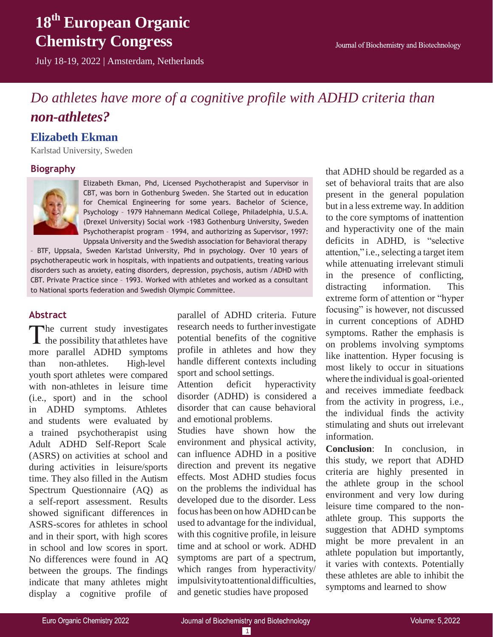# **18th European Organic Chemistry Congress**

July 18-19, 2022 | Amsterdam, Netherlands

### *Do athletes have more of a cognitive profile with ADHD criteria than non-athletes?*

### **Elizabeth Ekman**

Karlstad University, Sweden

### **Biography**



Elizabeth Ekman, Phd, Licensed Psychotherapist and Supervisor in CBT, was born in Gothenburg Sweden. She Started out in education for Chemical Engineering for some years. Bachelor of Science, Psychology – 1979 Hahnemann Medical College, Philadelphia, U.S.A. (Drexel University) Social work -1983 Gothenburg University, Sweden Psychotherapist program – 1994, and authorizing as Supervisor, 1997: Uppsala University and the Swedish association for Behavioral therapy

– BTF, Uppsala, Sweden Karlstad University, Phd in psychology. Over 10 years of psychotherapeutic work in hospitals, with inpatients and outpatients, treating various disorders such as anxiety, eating disorders, depression, psychosis, autism /ADHD with CBT. Private Practice since – 1993. Worked with athletes and worked as a consultant to National sports federation and Swedish Olympic Committee.

### **Abstract**

The current study investigates  $\blacktriangle$  the possibility that athletes have more parallel ADHD symptoms than non-athletes. High-level youth sport athletes were compared with non-athletes in leisure time (i.e., sport) and in the school in ADHD symptoms. Athletes and students were evaluated by a trained psychotherapist using Adult ADHD Self-Report Scale (ASRS) on activities at school and during activities in leisure/sports time. They also filled in the Autism Spectrum Questionnaire (AQ) as a self-report assessment. Results showed significant differences in ASRS-scores for athletes in school and in their sport, with high scores in school and low scores in sport. No differences were found in AQ between the groups. The findings indicate that many athletes might display a cognitive profile of

parallel of ADHD criteria. Future research needs to further investigate potential benefits of the cognitive profile in athletes and how they handle different contexts including sport and school settings.

Attention deficit hyperactivity disorder (ADHD) is considered a disorder that can cause behavioral and emotional problems.

Studies have shown how the environment and physical activity, can influence ADHD in a positive direction and prevent its negative effects. Most ADHD studies focus on the problems the individual has developed due to the disorder. Less focus has been on how ADHD can be used to advantage for the individual, with this cognitive profile, in leisure time and at school or work. ADHD symptoms are part of a spectrum, which ranges from hyperactivity/ impulsivitytoattentionaldifficulties, and genetic studies have proposed

that ADHD should be regarded as a set of behavioral traits that are also present in the general population but in a less extreme way. In addition to the core symptoms of inattention and hyperactivity one of the main deficits in ADHD, is "selective attention," i.e., selecting a target item while attenuating irrelevant stimuli in the presence of conflicting, distracting information. This extreme form of attention or "hyper focusing" is however, not discussed in current conceptions of ADHD symptoms. Rather the emphasis is on problems involving symptoms like inattention. Hyper focusing is most likely to occur in situations where the individual is goal-oriented and receives immediate feedback from the activity in progress, i.e., the individual finds the activity stimulating and shuts out irrelevant information.

**Conclusion**: In conclusion, in this study, we report that ADHD criteria are highly presented in the athlete group in the school environment and very low during leisure time compared to the nonathlete group. This supports the suggestion that ADHD symptoms might be more prevalent in an athlete population but importantly, it varies with contexts. Potentially these athletes are able to inhibit the symptoms and learned to show